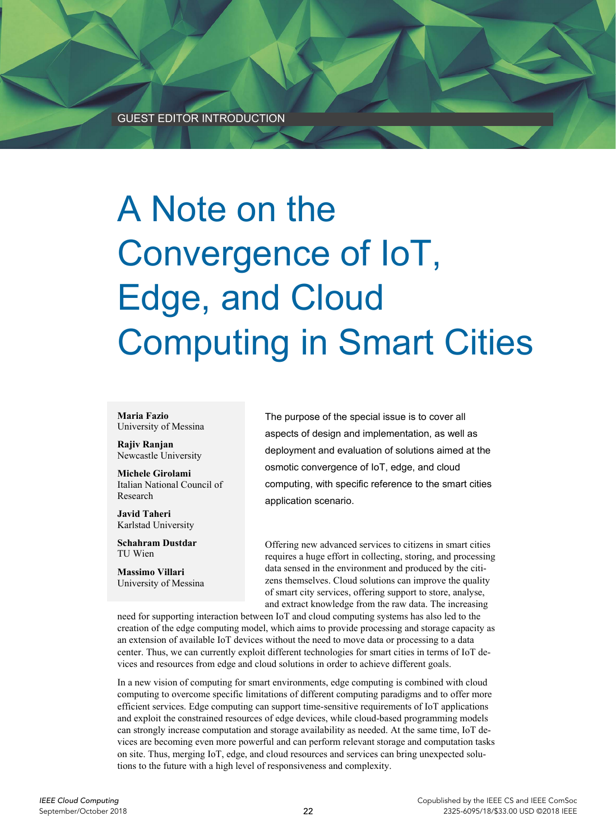GUEST EDITOR INTRODUCTION

## A Note on the Convergence of IoT, Edge, and Cloud Computing in Smart Cities

**Maria Fazio**  University of Messina

**Rajiv Ranjan**  Newcastle University

**Michele Girolami**  Italian National Council of Research

**Javid Taheri**  Karlstad University

**Schahram Dustdar**  TU Wien

**Massimo Villari**  University of Messina The purpose of the special issue is to cover all aspects of design and implementation, as well as deployment and evaluation of solutions aimed at the osmotic convergence of IoT, edge, and cloud computing, with specific reference to the smart cities application scenario.

Offering new advanced services to citizens in smart cities requires a huge effort in collecting, storing, and processing data sensed in the environment and produced by the citizens themselves. Cloud solutions can improve the quality of smart city services, offering support to store, analyse, and extract knowledge from the raw data. The increasing

need for supporting interaction between IoT and cloud computing systems has also led to the creation of the edge computing model, which aims to provide processing and storage capacity as an extension of available IoT devices without the need to move data or processing to a data center. Thus, we can currently exploit different technologies for smart cities in terms of IoT devices and resources from edge and cloud solutions in order to achieve different goals.

In a new vision of computing for smart environments, edge computing is combined with cloud computing to overcome specific limitations of different computing paradigms and to offer more efficient services. Edge computing can support time-sensitive requirements of IoT applications and exploit the constrained resources of edge devices, while cloud-based programming models can strongly increase computation and storage availability as needed. At the same time, IoT devices are becoming even more powerful and can perform relevant storage and computation tasks on site. Thus, merging IoT, edge, and cloud resources and services can bring unexpected solutions to the future with a high level of responsiveness and complexity.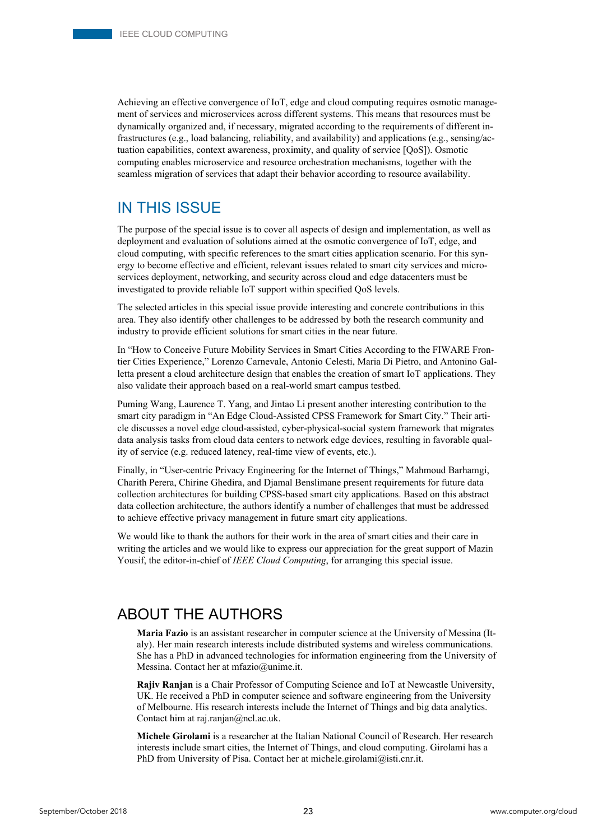Achieving an effective convergence of IoT, edge and cloud computing requires osmotic management of services and microservices across different systems. This means that resources must be dynamically organized and, if necessary, migrated according to the requirements of different infrastructures (e.g., load balancing, reliability, and availability) and applications (e.g., sensing/actuation capabilities, context awareness, proximity, and quality of service [QoS]). Osmotic computing enables microservice and resource orchestration mechanisms, together with the seamless migration of services that adapt their behavior according to resource availability.

## IN THIS ISSUE

The purpose of the special issue is to cover all aspects of design and implementation, as well as deployment and evaluation of solutions aimed at the osmotic convergence of IoT, edge, and cloud computing, with specific references to the smart cities application scenario. For this synergy to become effective and efficient, relevant issues related to smart city services and microservices deployment, networking, and security across cloud and edge datacenters must be investigated to provide reliable IoT support within specified QoS levels.

The selected articles in this special issue provide interesting and concrete contributions in this area. They also identify other challenges to be addressed by both the research community and industry to provide efficient solutions for smart cities in the near future.

In "How to Conceive Future Mobility Services in Smart Cities According to the FIWARE Frontier Cities Experience," Lorenzo Carnevale, Antonio Celesti, Maria Di Pietro, and Antonino Galletta present a cloud architecture design that enables the creation of smart IoT applications. They also validate their approach based on a real-world smart campus testbed.

Puming Wang, Laurence T. Yang, and Jintao Li present another interesting contribution to the smart city paradigm in "An Edge Cloud-Assisted CPSS Framework for Smart City." Their article discusses a novel edge cloud-assisted, cyber-physical-social system framework that migrates data analysis tasks from cloud data centers to network edge devices, resulting in favorable quality of service (e.g. reduced latency, real-time view of events, etc.).

Finally, in "User-centric Privacy Engineering for the Internet of Things," Mahmoud Barhamgi, Charith Perera, Chirine Ghedira, and Djamal Benslimane present requirements for future data collection architectures for building CPSS-based smart city applications. Based on this abstract data collection architecture, the authors identify a number of challenges that must be addressed to achieve effective privacy management in future smart city applications.

We would like to thank the authors for their work in the area of smart cities and their care in writing the articles and we would like to express our appreciation for the great support of Mazin Yousif, the editor-in-chief of *IEEE Cloud Computing*, for arranging this special issue.

## ABOUT THE AUTHORS

**Maria Fazio** is an assistant researcher in computer science at the University of Messina (Italy). Her main research interests include distributed systems and wireless communications. She has a PhD in advanced technologies for information engineering from the University of Messina. Contact her at mfazio@unime.it.

**Rajiv Ranjan** is a Chair Professor of Computing Science and IoT at Newcastle University, UK. He received a PhD in computer science and software engineering from the University of Melbourne. His research interests include the Internet of Things and big data analytics. Contact him at raj.ranjan@ncl.ac.uk.

**Michele Girolami** is a researcher at the Italian National Council of Research. Her research interests include smart cities, the Internet of Things, and cloud computing. Girolami has a PhD from University of Pisa. Contact her at michele.girolami@isti.cnr.it.